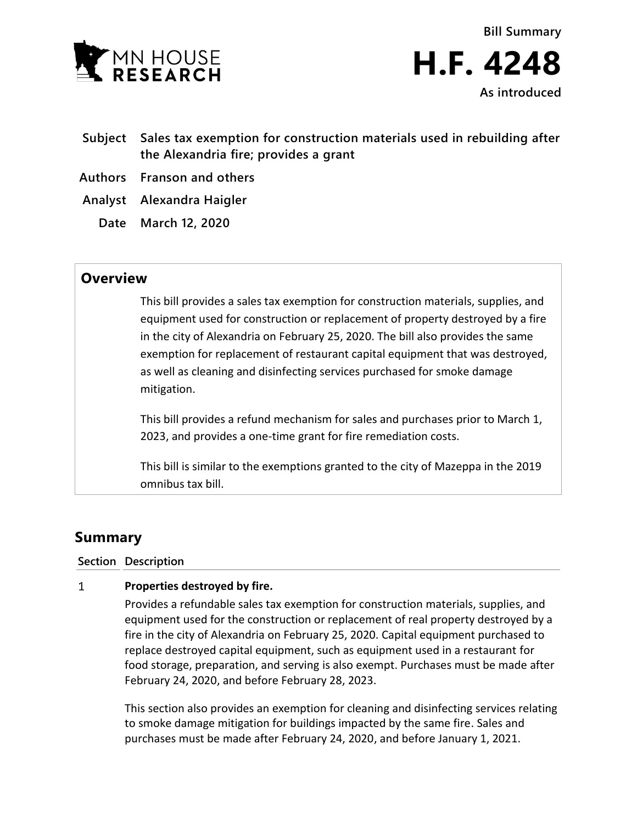

- **Subject Sales tax exemption for construction materials used in rebuilding after the Alexandria fire; provides a grant**
- **Authors Franson and others**
- **Analyst Alexandra Haigler**
	- **Date March 12, 2020**

## **Overview**

This bill provides a sales tax exemption for construction materials, supplies, and equipment used for construction or replacement of property destroyed by a fire in the city of Alexandria on February 25, 2020. The bill also provides the same exemption for replacement of restaurant capital equipment that was destroyed, as well as cleaning and disinfecting services purchased for smoke damage mitigation.

This bill provides a refund mechanism for sales and purchases prior to March 1, 2023, and provides a one-time grant for fire remediation costs.

This bill is similar to the exemptions granted to the city of Mazeppa in the 2019 omnibus tax bill.

# **Summary**

### **Section Description**

#### $\mathbf{1}$ **Properties destroyed by fire.**

Provides a refundable sales tax exemption for construction materials, supplies, and equipment used for the construction or replacement of real property destroyed by a fire in the city of Alexandria on February 25, 2020. Capital equipment purchased to replace destroyed capital equipment, such as equipment used in a restaurant for food storage, preparation, and serving is also exempt. Purchases must be made after February 24, 2020, and before February 28, 2023.

This section also provides an exemption for cleaning and disinfecting services relating to smoke damage mitigation for buildings impacted by the same fire. Sales and purchases must be made after February 24, 2020, and before January 1, 2021.